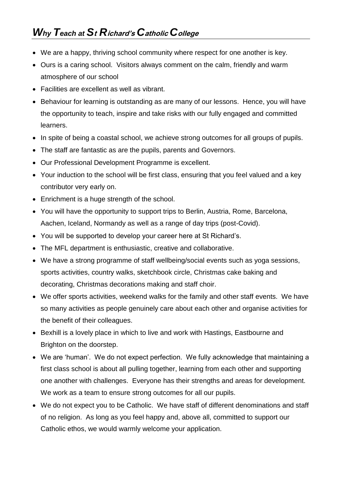- We are a happy, thriving school community where respect for one another is key.
- Ours is a caring school. Visitors always comment on the calm, friendly and warm atmosphere of our school
- Facilities are excellent as well as vibrant.
- Behaviour for learning is outstanding as are many of our lessons. Hence, you will have the opportunity to teach, inspire and take risks with our fully engaged and committed learners.
- In spite of being a coastal school, we achieve strong outcomes for all groups of pupils.
- The staff are fantastic as are the pupils, parents and Governors.
- Our Professional Development Programme is excellent.
- Your induction to the school will be first class, ensuring that you feel valued and a key contributor very early on.
- Enrichment is a huge strength of the school.
- You will have the opportunity to support trips to Berlin, Austria, Rome, Barcelona, Aachen, Iceland, Normandy as well as a range of day trips (post-Covid).
- You will be supported to develop your career here at St Richard's.
- The MFL department is enthusiastic, creative and collaborative.
- We have a strong programme of staff wellbeing/social events such as yoga sessions, sports activities, country walks, sketchbook circle, Christmas cake baking and decorating, Christmas decorations making and staff choir.
- We offer sports activities, weekend walks for the family and other staff events. We have so many activities as people genuinely care about each other and organise activities for the benefit of their colleagues.
- Bexhill is a lovely place in which to live and work with Hastings, Eastbourne and Brighton on the doorstep.
- We are 'human'. We do not expect perfection. We fully acknowledge that maintaining a first class school is about all pulling together, learning from each other and supporting one another with challenges. Everyone has their strengths and areas for development. We work as a team to ensure strong outcomes for all our pupils.
- We do not expect you to be Catholic. We have staff of different denominations and staff of no religion. As long as you feel happy and, above all, committed to support our Catholic ethos, we would warmly welcome your application.